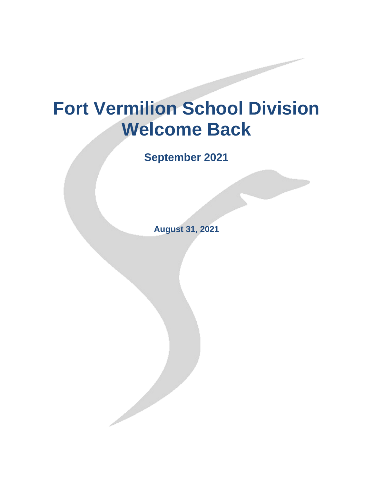# **Fort Vermilion School Division Welcome Back**

**September 2021**

**August 31, 2021**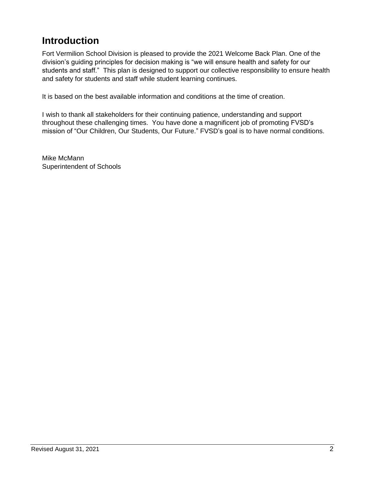# <span id="page-1-0"></span>**Introduction**

Fort Vermilion School Division is pleased to provide the 2021 Welcome Back Plan. One of the division's guiding principles for decision making is "we will ensure health and safety for our students and staff." This plan is designed to support our collective responsibility to ensure health and safety for students and staff while student learning continues.

It is based on the best available information and conditions at the time of creation.

I wish to thank all stakeholders for their continuing patience, understanding and support throughout these challenging times. You have done a magnificent job of promoting FVSD's mission of "Our Children, Our Students, Our Future." FVSD's goal is to have normal conditions.

Mike McMann Superintendent of Schools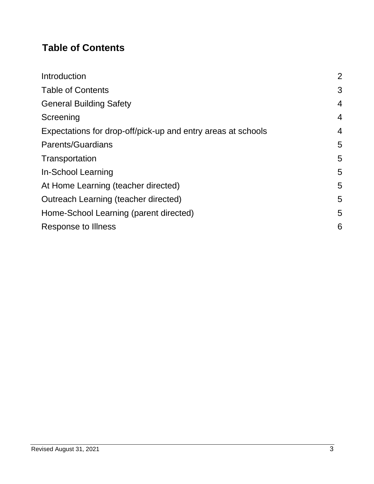# <span id="page-2-0"></span>**Table of Contents**

| $\overline{2}$ |
|----------------|
| 3              |
| $\overline{4}$ |
| $\overline{4}$ |
| $\overline{4}$ |
| 5              |
| 5              |
| 5              |
| 5              |
| 5              |
| 5              |
| 6              |
|                |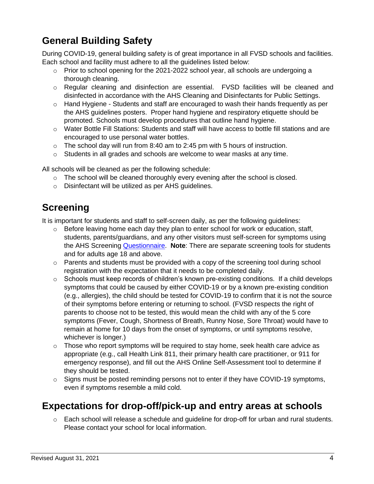# <span id="page-3-0"></span>**General Building Safety**

During COVID-19, general building safety is of great importance in all FVSD schools and facilities. Each school and facility must adhere to all the guidelines listed below:

- $\circ$  Prior to school opening for the 2021-2022 school year, all schools are undergoing a thorough cleaning.
- o Regular cleaning and disinfection are essential. FVSD facilities will be cleaned and disinfected in accordance with the AHS Cleaning and Disinfectants for Public Settings.
- $\circ$  Hand Hygiene Students and staff are encouraged to wash their hands frequently as per the AHS guidelines posters. Proper hand hygiene and respiratory etiquette should be promoted. Schools must develop procedures that outline hand hygiene.
- $\circ$  Water Bottle Fill Stations: Students and staff will have access to bottle fill stations and are encouraged to use personal water bottles.
- $\circ$  The school day will run from 8:40 am to 2:45 pm with 5 hours of instruction.
- $\circ$  Students in all grades and schools are welcome to wear masks at any time.

All schools will be cleaned as per the following schedule:

- $\circ$  The school will be cleaned thoroughly every evening after the school is closed.
- o Disinfectant will be utilized as per AHS guidelines.

## <span id="page-3-1"></span>**Screening**

It is important for students and staff to self-screen daily, as per the following guidelines:

- $\circ$  Before leaving home each day they plan to enter school for work or education, staff, students, parents/guardians, and any other visitors must self-screen for symptoms using the AHS Screening [Questionnaire.](https://open.alberta.ca/dataset/56c020ed-1782-4c6c-bfdd-5af36754471f/resource/58957831-a4ab-45ff-9a8e-3c6af7c1622e/download/covid-19-information-alberta-health-daily-checklist-2021-08.pdf) **Note**: There are separate screening tools for students and for adults age 18 and above.
- $\circ$  Parents and students must be provided with a copy of the screening tool during school registration with the expectation that it needs to be completed daily.
- $\circ$  Schools must keep records of children's known pre-existing conditions. If a child develops symptoms that could be caused by either COVID-19 or by a known pre-existing condition (e.g., allergies), the child should be tested for COVID-19 to confirm that it is not the source of their symptoms before entering or returning to school. (FVSD respects the right of parents to choose not to be tested, this would mean the child with any of the 5 core symptoms (Fever, Cough, Shortness of Breath, Runny Nose, Sore Throat) would have to remain at home for 10 days from the onset of symptoms, or until symptoms resolve, whichever is longer.)
- $\circ$  Those who report symptoms will be required to stay home, seek health care advice as appropriate (e.g., call Health Link 811, their primary health care practitioner, or 911 for emergency response), and fill out the [AHS Online Self-Assessment tool t](https://myhealth.alberta.ca/journey/covid-19/Pages/COVID-Self-Assessment.aspx)o determine if they should be tested.
- $\circ$  [Signs m](https://open.alberta.ca/publications/covid-19-information-help-prevent-the-spread-poster)ust be posted reminding persons not to enter if they have COVID-19 symptoms, even if symptoms resemble a mild cold.

#### <span id="page-3-2"></span>**Expectations for drop-off/pick-up and entry areas at schools**

 $\circ$  Each school will release a schedule and quideline for drop-off for urban and rural students. Please contact your school for local information.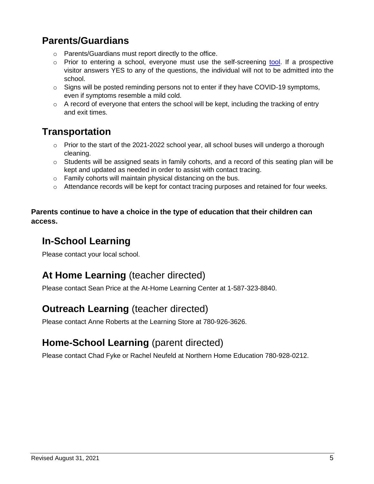## <span id="page-4-0"></span>**Parents/Guardians**

- o Parents/Guardians must report directly to the office.
- $\circ$  Prior to entering a school, everyone must use the self-screening [tool.](https://open.alberta.ca/dataset/56c020ed-1782-4c6c-bfdd-5af36754471f/resource/58957831-a4ab-45ff-9a8e-3c6af7c1622e/download/covid-19-information-alberta-health-daily-checklist-2021-08.pdf) If a prospective visitor answers YES to any of the questions, the individual will not to be admitted into the school.
- o Signs will be posted reminding persons not to enter if they have COVID-19 symptoms, even if symptoms resemble a mild cold.
- $\circ$  A record of everyone that enters the school will be kept, including the tracking of entry and exit times.

# <span id="page-4-1"></span>**Transportation**

- $\circ$  Prior to the start of the 2021-2022 school year, all school buses will undergo a thorough cleaning.
- $\circ$  Students will be assigned seats in family cohorts, and a record of this seating plan will be kept and updated as needed in order to assist with contact tracing.
- o Family cohorts will maintain physical distancing on the bus.
- $\circ$  Attendance records will be kept for contact tracing purposes and retained for four weeks.

#### **Parents continue to have a choice in the type of education that their children can access.**

# <span id="page-4-2"></span>**In-School Learning**

Please contact your local school.

# <span id="page-4-3"></span>**At Home Learning** (teacher directed)

Please contact Sean Price at the At-Home Learning Center at 1-587-323-8840.

#### <span id="page-4-4"></span>**Outreach Learning** (teacher directed)

Please contact Anne Roberts at the Learning Store at 780-926-3626.

#### <span id="page-4-5"></span>**Home-School Learning** (parent directed)

Please contact Chad Fyke or Rachel Neufeld at Northern Home Education 780-928-0212.